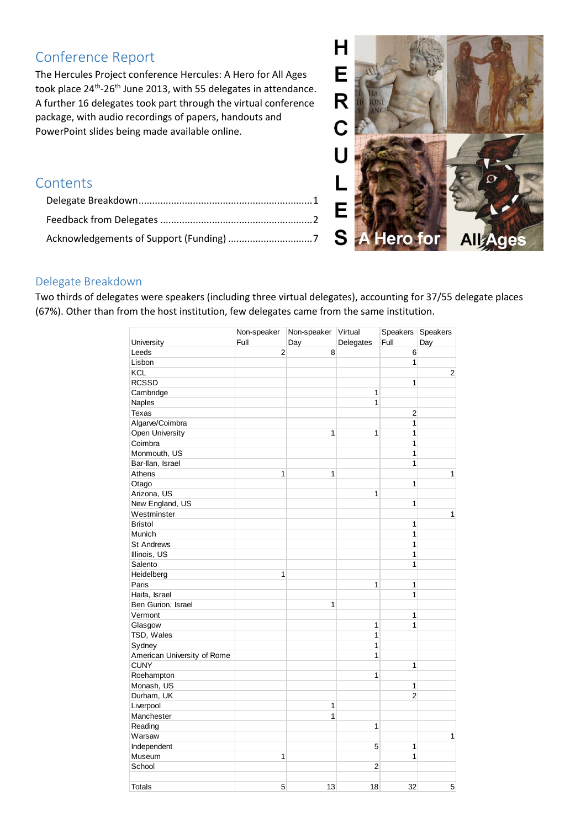# Conference Report

The Hercules Project conference Hercules: A Hero for All Ages took place 24<sup>th</sup>-26<sup>th</sup> June 2013, with 55 delegates in attendance. A further 16 delegates took part through the virtual conference package, with audio recordings of papers, handouts and PowerPoint slides being made available online.

## **Contents**



## <span id="page-0-0"></span>Delegate Breakdown

Two thirds of delegates were speakers (including three virtual delegates), accounting for 37/55 delegate places (67%). Other than from the host institution, few delegates came from the same institution.

|                             | Non-speaker    | Non-speaker Virtual |           | Speakers Speakers |                |
|-----------------------------|----------------|---------------------|-----------|-------------------|----------------|
| University                  | Full           | Day                 | Delegates | Full              | Day            |
| Leeds                       | $\overline{2}$ | 8                   |           | 6                 |                |
| Lisbon                      |                |                     |           | 1                 |                |
| KCL                         |                |                     |           |                   | $\overline{c}$ |
| <b>RCSSD</b>                |                |                     |           | 1                 |                |
| Cambridge                   |                |                     | 1         |                   |                |
| <b>Naples</b>               |                |                     | 1         |                   |                |
| Texas                       |                |                     |           | $\overline{c}$    |                |
| Algarve/Coimbra             |                |                     |           | 1                 |                |
| Open University             |                | 1                   | 1         | 1                 |                |
| Coimbra                     |                |                     |           | 1                 |                |
| Monmouth, US                |                |                     |           | 1                 |                |
| Bar-Ilan, Israel            |                |                     |           | 1                 |                |
| Athens                      | $\mathbf{1}$   | 1                   |           |                   | $\mathbf{1}$   |
| Otago                       |                |                     |           | 1                 |                |
| Arizona, US                 |                |                     | 1         |                   |                |
| New England, US             |                |                     |           | 1                 |                |
| Westminster                 |                |                     |           |                   | $\mathbf{1}$   |
| <b>Bristol</b>              |                |                     |           | 1                 |                |
| Munich                      |                |                     |           | 1                 |                |
| <b>St Andrews</b>           |                |                     |           | 1                 |                |
| Illinois, US                |                |                     |           | 1                 |                |
| Salento                     |                |                     |           | 1                 |                |
| Heidelberg                  | 1              |                     |           |                   |                |
| Paris                       |                |                     | 1         | 1                 |                |
| Haifa, Israel               |                |                     |           | 1                 |                |
| Ben Gurion, Israel          |                | 1                   |           |                   |                |
| Vermont                     |                |                     |           | 1                 |                |
| Glasgow                     |                |                     | 1         | 1                 |                |
| TSD, Wales                  |                |                     | 1         |                   |                |
| Sydney                      |                |                     | 1         |                   |                |
| American University of Rome |                |                     | 1         |                   |                |
| <b>CUNY</b>                 |                |                     |           | 1                 |                |
| Roehampton                  |                |                     | 1         |                   |                |
| Monash, US                  |                |                     |           | 1                 |                |
| Durham, UK                  |                |                     |           | $\overline{2}$    |                |
|                             |                | 1                   |           |                   |                |
| Liverpool                   |                | 1                   |           |                   |                |
| Manchester                  |                |                     |           |                   |                |
| Reading                     |                |                     | 1         |                   |                |
| Warsaw                      |                |                     |           |                   | $\mathbf{1}$   |
| Independent                 |                |                     | 5         | 1                 |                |
| Museum                      | 1              |                     |           | 1                 |                |
| School                      |                |                     | 2         |                   |                |
| <b>Totals</b>               | 5              | 13                  | 18        | 32                | 5              |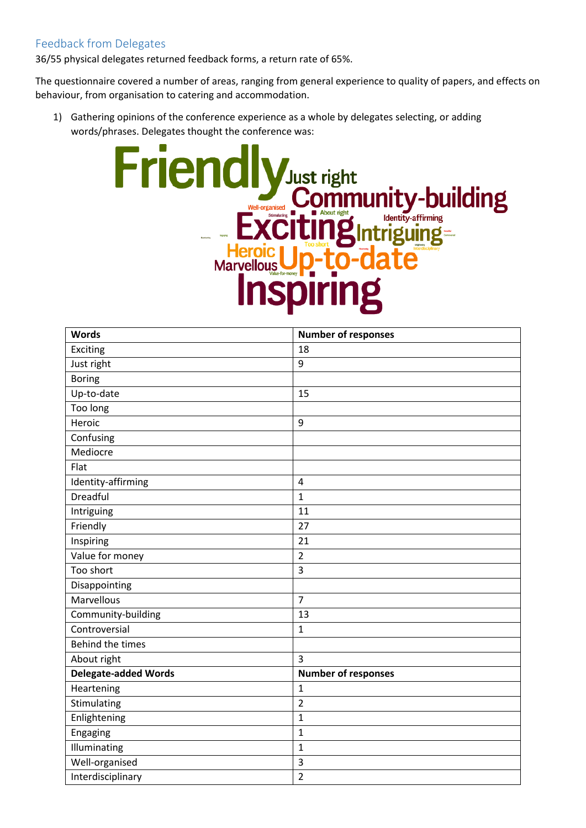## <span id="page-1-0"></span>Feedback from Delegates

36/55 physical delegates returned feedback forms, a return rate of 65%.

The questionnaire covered a number of areas, ranging from general experience to quality of papers, and effects on behaviour, from organisation to catering and accommodation.

1) Gathering opinions of the conference experience as a whole by delegates selecting, or adding words/phrases. Delegates thought the conference was:



| <b>Words</b>                | <b>Number of responses</b> |
|-----------------------------|----------------------------|
| Exciting                    | 18                         |
| Just right                  | 9                          |
| <b>Boring</b>               |                            |
| Up-to-date                  | 15                         |
| Too long                    |                            |
| Heroic                      | 9                          |
| Confusing                   |                            |
| Mediocre                    |                            |
| Flat                        |                            |
| Identity-affirming          | $\sqrt{4}$                 |
| Dreadful                    | $\mathbf{1}$               |
| Intriguing                  | 11                         |
| Friendly                    | 27                         |
| Inspiring                   | 21                         |
| Value for money             | $\overline{2}$             |
| Too short                   | $\overline{3}$             |
| Disappointing               |                            |
| Marvellous                  | $\overline{7}$             |
| Community-building          | 13                         |
| Controversial               | $\mathbf{1}$               |
| Behind the times            |                            |
| About right                 | $\overline{3}$             |
| <b>Delegate-added Words</b> | <b>Number of responses</b> |
| Heartening                  | $\mathbf{1}$               |
| Stimulating                 | $\overline{2}$             |
| Enlightening                | $\mathbf{1}$               |
| Engaging                    | $\mathbf 1$                |
| Illuminating                | $\mathbf 1$                |
| Well-organised              | $\overline{3}$             |
| Interdisciplinary           | $\overline{2}$             |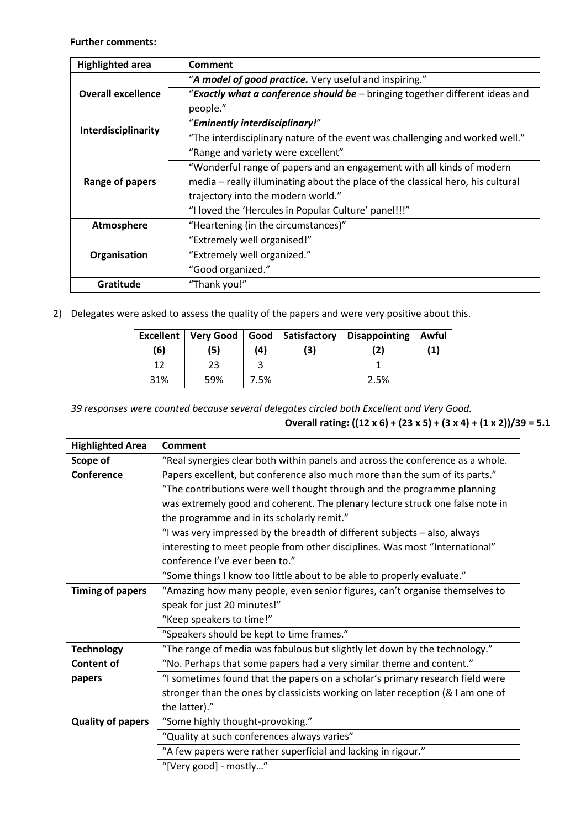**Further comments:**

| <b>Highlighted area</b>   | Comment                                                                         |
|---------------------------|---------------------------------------------------------------------------------|
|                           | "A model of good practice. Very useful and inspiring."                          |
| <b>Overall excellence</b> | "Exactly what a conference should be - bringing together different ideas and    |
|                           | people."                                                                        |
|                           | "Eminently interdisciplinary!"                                                  |
| Interdisciplinarity       | "The interdisciplinary nature of the event was challenging and worked well."    |
|                           | "Range and variety were excellent"                                              |
|                           | "Wonderful range of papers and an engagement with all kinds of modern           |
| Range of papers           | media - really illuminating about the place of the classical hero, his cultural |
|                           | trajectory into the modern world."                                              |
|                           | "I loved the 'Hercules in Popular Culture' panel!!!"                            |
| Atmosphere                | "Heartening (in the circumstances)"                                             |
|                           | "Extremely well organised!"                                                     |
| Organisation              | "Extremely well organized."                                                     |
|                           | "Good organized."                                                               |
| Gratitude                 | "Thank you!"                                                                    |

2) Delegates were asked to assess the quality of the papers and were very positive about this.

|     |     |      |    | Excellent   Very Good   Good   Satisfactory   Disappointing | Awful     |
|-----|-----|------|----|-------------------------------------------------------------|-----------|
| (6) | (5) | (4)  | 3) |                                                             | $\bf (1)$ |
|     | 23  |      |    |                                                             |           |
| 31% | 59% | 7.5% |    | 2.5%                                                        |           |

*39 responses were counted because several delegates circled both Excellent and Very Good.* **Overall rating: ((12 x 6) + (23 x 5) + (3 x 4) + (1 x 2))/39 = 5.1**

| <b>Highlighted Area</b>  | <b>Comment</b>                                                                  |
|--------------------------|---------------------------------------------------------------------------------|
| Scope of                 | "Real synergies clear both within panels and across the conference as a whole.  |
| Conference               | Papers excellent, but conference also much more than the sum of its parts."     |
|                          | "The contributions were well thought through and the programme planning         |
|                          | was extremely good and coherent. The plenary lecture struck one false note in   |
|                          | the programme and in its scholarly remit."                                      |
|                          | "I was very impressed by the breadth of different subjects - also, always       |
|                          | interesting to meet people from other disciplines. Was most "International"     |
|                          | conference I've ever been to."                                                  |
|                          | "Some things I know too little about to be able to properly evaluate."          |
| <b>Timing of papers</b>  | "Amazing how many people, even senior figures, can't organise themselves to     |
|                          | speak for just 20 minutes!"                                                     |
|                          | "Keep speakers to time!"                                                        |
|                          | "Speakers should be kept to time frames."                                       |
| <b>Technology</b>        | "The range of media was fabulous but slightly let down by the technology."      |
| <b>Content of</b>        | "No. Perhaps that some papers had a very similar theme and content."            |
| papers                   | "I sometimes found that the papers on a scholar's primary research field were   |
|                          | stronger than the ones by classicists working on later reception (& I am one of |
|                          | the latter)."                                                                   |
| <b>Quality of papers</b> | "Some highly thought-provoking."                                                |
|                          | "Quality at such conferences always varies"                                     |
|                          | "A few papers were rather superficial and lacking in rigour."                   |
|                          | "[Very good] - mostly"                                                          |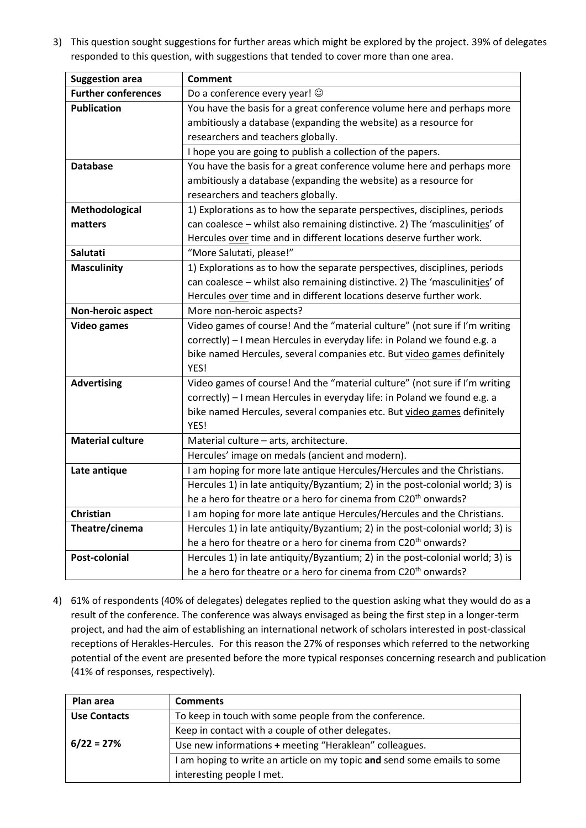3) This question sought suggestions for further areas which might be explored by the project. 39% of delegates responded to this question, with suggestions that tended to cover more than one area.

| <b>Suggestion area</b>     | <b>Comment</b>                                                                |
|----------------------------|-------------------------------------------------------------------------------|
| <b>Further conferences</b> | Do a conference every year! ©                                                 |
| <b>Publication</b>         | You have the basis for a great conference volume here and perhaps more        |
|                            | ambitiously a database (expanding the website) as a resource for              |
|                            | researchers and teachers globally.                                            |
|                            | I hope you are going to publish a collection of the papers.                   |
| <b>Database</b>            | You have the basis for a great conference volume here and perhaps more        |
|                            | ambitiously a database (expanding the website) as a resource for              |
|                            | researchers and teachers globally.                                            |
| Methodological             | 1) Explorations as to how the separate perspectives, disciplines, periods     |
| matters                    | can coalesce - whilst also remaining distinctive. 2) The 'masculinities' of   |
|                            | Hercules over time and in different locations deserve further work.           |
| Salutati                   | "More Salutati, please!"                                                      |
| <b>Masculinity</b>         | 1) Explorations as to how the separate perspectives, disciplines, periods     |
|                            | can coalesce - whilst also remaining distinctive. 2) The 'masculinities' of   |
|                            | Hercules over time and in different locations deserve further work.           |
| Non-heroic aspect          | More non-heroic aspects?                                                      |
| <b>Video games</b>         | Video games of course! And the "material culture" (not sure if I'm writing    |
|                            | correctly) - I mean Hercules in everyday life: in Poland we found e.g. a      |
|                            | bike named Hercules, several companies etc. But video games definitely        |
|                            | YES!                                                                          |
| <b>Advertising</b>         | Video games of course! And the "material culture" (not sure if I'm writing    |
|                            | correctly) - I mean Hercules in everyday life: in Poland we found e.g. a      |
|                            | bike named Hercules, several companies etc. But video games definitely        |
|                            | YES!                                                                          |
| <b>Material culture</b>    | Material culture - arts, architecture.                                        |
|                            | Hercules' image on medals (ancient and modern).                               |
| Late antique               | I am hoping for more late antique Hercules/Hercules and the Christians.       |
|                            | Hercules 1) in late antiquity/Byzantium; 2) in the post-colonial world; 3) is |
|                            | he a hero for theatre or a hero for cinema from C20 <sup>th</sup> onwards?    |
| Christian                  | I am hoping for more late antique Hercules/Hercules and the Christians.       |
| Theatre/cinema             | Hercules 1) in late antiquity/Byzantium; 2) in the post-colonial world; 3) is |
|                            | he a hero for theatre or a hero for cinema from C20 <sup>th</sup> onwards?    |
| Post-colonial              | Hercules 1) in late antiquity/Byzantium; 2) in the post-colonial world; 3) is |
|                            | he a hero for theatre or a hero for cinema from C20 <sup>th</sup> onwards?    |

4) 61% of respondents (40% of delegates) delegates replied to the question asking what they would do as a result of the conference. The conference was always envisaged as being the first step in a longer-term project, and had the aim of establishing an international network of scholars interested in post-classical receptions of Herakles-Hercules. For this reason the 27% of responses which referred to the networking potential of the event are presented before the more typical responses concerning research and publication (41% of responses, respectively).

| Plan area           | <b>Comments</b>                                                          |  |
|---------------------|--------------------------------------------------------------------------|--|
| <b>Use Contacts</b> | To keep in touch with some people from the conference.                   |  |
|                     | Keep in contact with a couple of other delegates.                        |  |
| $6/22 = 27%$        | Use new informations + meeting "Heraklean" colleagues.                   |  |
|                     | I am hoping to write an article on my topic and send some emails to some |  |
|                     | interesting people I met.                                                |  |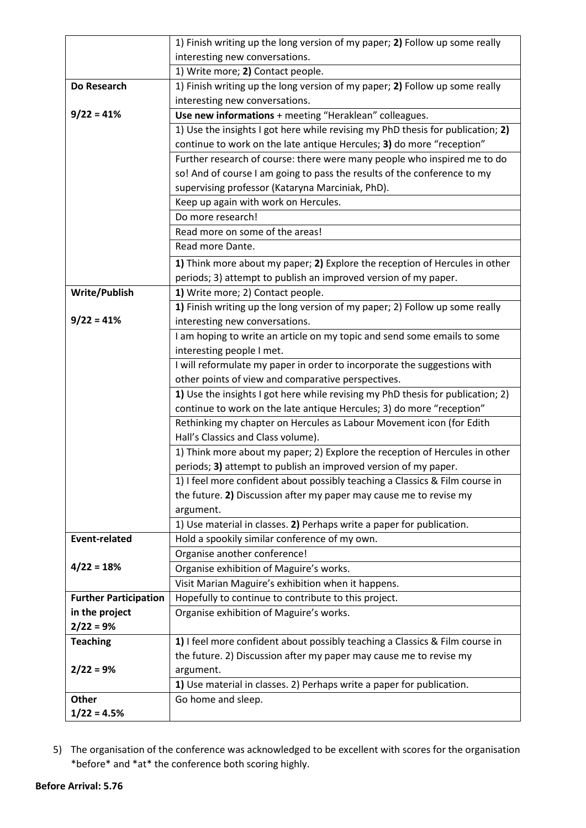|                              | 1) Finish writing up the long version of my paper; 2) Follow up some really        |
|------------------------------|------------------------------------------------------------------------------------|
|                              | interesting new conversations.                                                     |
|                              | 1) Write more; 2) Contact people.                                                  |
| Do Research                  | 1) Finish writing up the long version of my paper; 2) Follow up some really        |
|                              | interesting new conversations.                                                     |
| $9/22 = 41%$                 | Use new informations + meeting "Heraklean" colleagues.                             |
|                              | 1) Use the insights I got here while revising my PhD thesis for publication; 2)    |
|                              | continue to work on the late antique Hercules; 3) do more "reception"              |
|                              | Further research of course: there were many people who inspired me to do           |
|                              | so! And of course I am going to pass the results of the conference to my           |
|                              | supervising professor (Kataryna Marciniak, PhD).                                   |
|                              | Keep up again with work on Hercules.                                               |
|                              | Do more research!                                                                  |
|                              | Read more on some of the areas!                                                    |
|                              | Read more Dante.                                                                   |
|                              | 1) Think more about my paper; 2) Explore the reception of Hercules in other        |
|                              | periods; 3) attempt to publish an improved version of my paper.                    |
| <b>Write/Publish</b>         | 1) Write more; 2) Contact people.                                                  |
|                              | 1) Finish writing up the long version of my paper; 2) Follow up some really        |
| $9/22 = 41%$                 | interesting new conversations.                                                     |
|                              | I am hoping to write an article on my topic and send some emails to some           |
|                              | interesting people I met.                                                          |
|                              | I will reformulate my paper in order to incorporate the suggestions with           |
|                              | other points of view and comparative perspectives.                                 |
|                              | 1) Use the insights I got here while revising my PhD thesis for publication; 2)    |
|                              | continue to work on the late antique Hercules; 3) do more "reception"              |
|                              | Rethinking my chapter on Hercules as Labour Movement icon (for Edith               |
|                              | Hall's Classics and Class volume).                                                 |
|                              | 1) Think more about my paper; 2) Explore the reception of Hercules in other        |
|                              | periods; 3) attempt to publish an improved version of my paper.                    |
|                              | 1) I feel more confident about possibly teaching a Classics & Film course in       |
|                              | the future. 2) Discussion after my paper may cause me to revise my                 |
|                              | argument.                                                                          |
|                              | 1) Use material in classes. 2) Perhaps write a paper for publication.              |
| <b>Event-related</b>         | Hold a spookily similar conference of my own.                                      |
|                              | Organise another conference!                                                       |
| $4/22 = 18%$                 | Organise exhibition of Maguire's works.                                            |
|                              | Visit Marian Maguire's exhibition when it happens.                                 |
| <b>Further Participation</b> | Hopefully to continue to contribute to this project.                               |
| in the project               | Organise exhibition of Maguire's works.                                            |
| $2/22 = 9%$                  |                                                                                    |
| <b>Teaching</b>              | 1) I feel more confident about possibly teaching a Classics & Film course in       |
| $2/22 = 9%$                  | the future. 2) Discussion after my paper may cause me to revise my                 |
|                              | argument.<br>1) Use material in classes. 2) Perhaps write a paper for publication. |
| <b>Other</b>                 |                                                                                    |
| $1/22 = 4.5%$                | Go home and sleep.                                                                 |
|                              |                                                                                    |

5) The organisation of the conference was acknowledged to be excellent with scores for the organisation \*before\* and \*at\* the conference both scoring highly.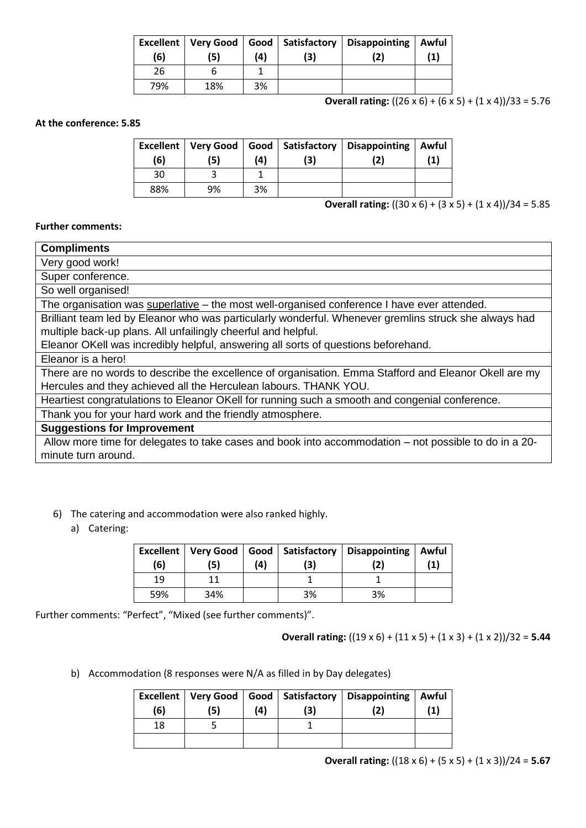| <b>Excellent</b><br>(6) | Very Good<br>'5) | (4) | Good   Satisfactory<br>3) | Disappointing<br>2) | Awful<br>(1) |
|-------------------------|------------------|-----|---------------------------|---------------------|--------------|
| 26                      |                  |     |                           |                     |              |
| 79%                     | 18%              | 3%  |                           |                     |              |

**Overall rating:**  $((26 \times 6) + (6 \times 5) + (1 \times 4))/33 = 5.76$ 

#### **At the conference: 5.85**

| (6) | (5) | (4) | Excellent   Very Good   Good   Satisfactory<br>(3) | Disappointing | Awful<br>'1) |
|-----|-----|-----|----------------------------------------------------|---------------|--------------|
| 30  |     |     |                                                    |               |              |
| 88% | 9%  | 3%  |                                                    |               |              |

### **Overall rating:** ((30 x 6) + (3 x 5) + (1 x 4))/34 = 5.85

#### **Further comments:**

| <b>Compliments</b>                                                                                    |
|-------------------------------------------------------------------------------------------------------|
| Very good work!                                                                                       |
| Super conference.                                                                                     |
| So well organised!                                                                                    |
| The organisation was superlative – the most well-organised conference I have ever attended.           |
| Brilliant team led by Eleanor who was particularly wonderful. Whenever gremlins struck she always had |
| multiple back-up plans. All unfailingly cheerful and helpful.                                         |
| Eleanor OKell was incredibly helpful, answering all sorts of questions beforehand.                    |
| Eleanor is a hero!                                                                                    |
| There are no words to describe the excellence of organisation. Emma Stafford and Eleanor Okell are my |
| Hercules and they achieved all the Herculean labours. THANK YOU.                                      |
| Heartiest congratulations to Eleanor OKell for running such a smooth and congenial conference.        |
| Thank you for your hard work and the friendly atmosphere.                                             |
| <b>Suggestions for Improvement</b>                                                                    |
| Allow more time for delegates to take cases and book into accommodation – not possible to do in a 20- |
| minute turn around.                                                                                   |

- 6) The catering and accommodation were also ranked highly.
	- a) Catering:

| <b>Excellent</b><br>(6) | (5) | (4) | (3) | Very Good   Good   Satisfactory   Disappointing   Awful | $\left( 1\right)$ |
|-------------------------|-----|-----|-----|---------------------------------------------------------|-------------------|
| 19                      |     |     |     |                                                         |                   |
| 59%                     | 34% |     | 3%  | 3%                                                      |                   |

Further comments: "Perfect", "Mixed (see further comments)".

#### **Overall rating:** ((19 x 6) + (11 x 5) + (1 x 3) + (1 x 2))/32 = **5.44**

b) Accommodation (8 responses were N/A as filled in by Day delegates)

| (6) | '5) | (4) | 3) | Excellent   Very Good   Good   Satisfactory   Disappointing   Awful |  |
|-----|-----|-----|----|---------------------------------------------------------------------|--|
| 18  |     |     |    |                                                                     |  |
|     |     |     |    |                                                                     |  |

### **Overall rating:** ((18 x 6) + (5 x 5) + (1 x 3))/24 = **5.67**